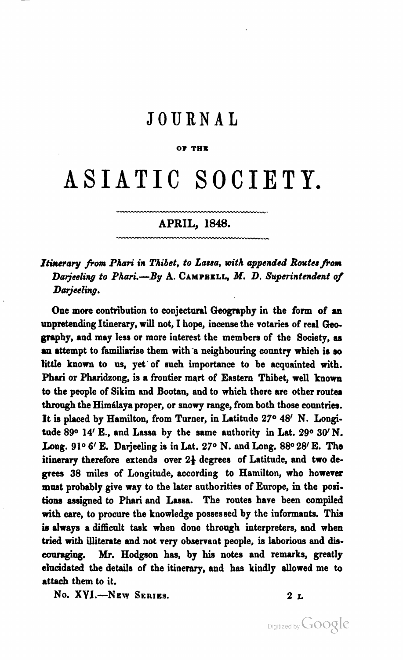## **JOURNAL**

#### **01 THE**

# ASIATIC SOCIETY.

## **APRIL, 1848.**

\_\_Y\_WY\_\_\_".

### Itinerary from Phari in Thibet, to Lassa, with appended Routes from Darjeeling to Phari.-By A. CAMPBELL, M. D. Superintendent of Darjeeling.

One more contribution to conjectural Geography in the form of an unpretending Itinerary, will not, I hope, incense the votaries of real **Qeo.**  graphy, and may less or more interest the members of the Society, as an attempt to familiarise them with a neighbouring country which is so little known to ns, yet'of such importance to be acquainted with. Phari or Pharidzong, is a frontier mart of Eastern Thibet, well known to the people of Sikim and Bootan, and to which there are other routes through the Himálaya proper, or snowy range, from both those countries. It is placed by Hamilton, from Turner, in Latitude 27° 48' N. Longitude 890 14' E., and Lassa by the same authority in Lat. 290 **3W** N. Long. 91<sup>o</sup> 6' E. Darjeeling is in Lat. 27<sup>o</sup> N. and Long. 88<sup>o</sup> 28' E. The itinerary therefore extends over  $2\frac{1}{2}$  degrees of Latitude, and two de**grees** 38 miles of Longitude, according to Hamilton, who however must probably give way to the later authorities of Europe, in the positions assigned to Phari and Lassa. The routes have been compiled with care, to procure the knowledge possessed by the informants. **This is** always a difficult **tsak** when done through interpreters, and when tried with illiterate and not very observant people, is laborious and dis**emmging.** Mr. Hodgson has, by his notes and remarks, greatly elucidated the details of the itinerary, and **has** kindly allowed me to attach them to it.

**No. XY1.-Nev SERIES. 2 L**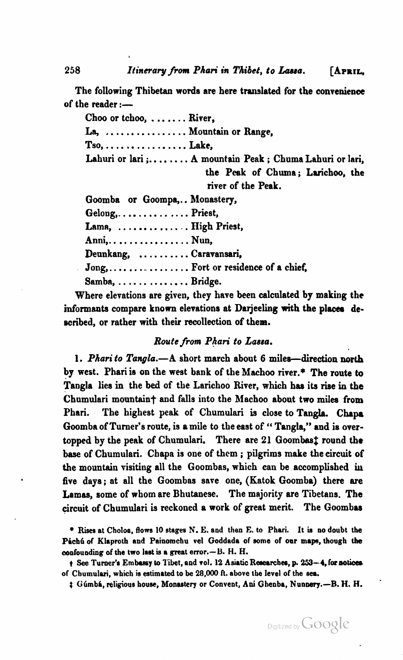258 *Itinerary from Phari in Thibet, to Lassa.* [APRIL,

The following Thibetan words are here translated for the convenience of the reader  $:=$ 

Choo or tchoo, ....... River,

La, ................ Mountain or Range,

Tso, ................ Lake,

Lahuri or lari ;....... A mountain Peak ; Chuma Lahuri or lari, the Peak of Chuma; Larichoo, the

river of the Peak.

Goomba or Goompa,. . Monastery, Gelong, ............... Priest, Lama, ............... High Priest, Anni,. ............... Nun, Deunkang, .......... Caravansari, Jong, .................... Fort or residence of a chief, Samba, .............. Bridge.

Where elevations are given, they have been calculated by making the informants compare known elevations at Darjeeling with the places described, or rather with their recollection of them.

#### *Route from P&ri to Lassa.*

1. Pharito Tangla.-A short march about 6 miles-direction north by west. Phari is on the west bank of the **Machoo** river.\* The route to Tangla lies in the bed of the Larichoo River, which has its rise in the Chumulari mountain<sup>t</sup> and falls into the Machoo about two miles from Phari. The highest peak of Chumulari is close to Tangla. Chapa Goomba of Turner's route, is a mile to the east of **c'** Tangla," and is overtopped by the peak of Chumulari. There are 21 Goombast round the **base** of Chumulari. Chapa is one of them ; pilgrims make the circuit of the mountain visiting all the Goombas, which can be accomplished in **five** days; at all the Goombas save one, (Katok Goomba) there are Lamas, some of whom are Bhutanese. The majority are Tibetans. The circuit of Chumulari is reckoned a work of great merit. The Goombas

**Rises at Choloa, flows 10 stages N. E. and then E. to Phnri. It ia no doubt the**  Páchú of Klaproth and Painomchu vel Goddada of some of our maps, though the **oosfounding of the two last is a great error.-B. H. H.** 



**t** See Turner's Embassy to Tibet, and vol. 12 Asiatic Researches, p. 253-4, for notices **of Chumulari, which is eatimrted to be 28,000 ft. above the level of the sa** 

 $t$  Gúmbá, religious house, Monastery or Convent, Ani Ghenba, Nunnery.-B. H. H.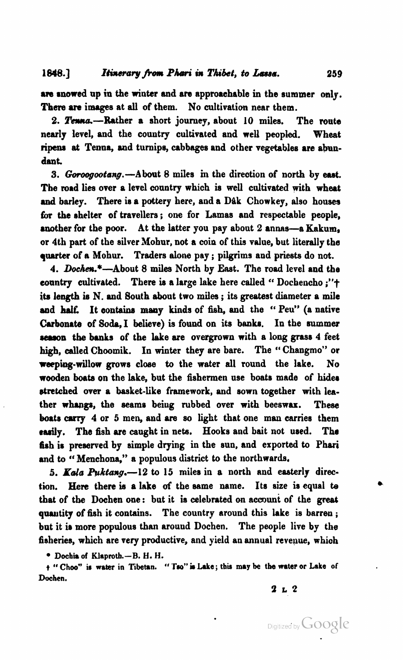are snowed up in the winter and are approachable in the summer only. There are images at all of them. No cultivation near them.

2. Tenna.-Rather a short journey, about 10 miles. The route nearly level, and the country cultivated and well peopled. Wheat **ripma** at Tenna, and turnips, cabbages and other vegetables are abundant.

3. Goroogootang. - About 8 miles in the direction of north by east. **The** road **lies** over a level conntry which is well cultivated with wheat and barley. There is a pottery here, and a Dak Chowkey, also houses for the shelter of travellers; one for Lamas and respectable people, another for the poor. At the latter you pay about 2 annas-a Kakum, or 4th part of the silver Mohnr, not a coin of this vdue, but literally the **quarter** of a hiohur. Traders **alone** pay ; pilgrims and priests do not.

4. Dochen.\*-About 8 miles North by East. The road level and the coanty cultivated. There **is** a large lake here called " Dochencho **;"t**  ita length **ie** N. and Bouth about two miles ; its greatast diameter a **mile**  and half. It contains many kinds of fish, and the "Peu" (a native **Cubonnte** of **Soda,** I believe) is found on its banks. In the **munmer reason** the banks of the lake are overgrown with a long grass 4 feet high, called Choomik. In winter they are bare. The " Changmo" or weeping-willow grows close to the water all round the lake. No wooden **boata** on the lake, but the fishermen use boats made of hider &retched over a basket-like framework, and sown together with leather whangs, the seams beiug rubbed over with beeswax. These boats **carry** 4 or 5 men, and **are** so light that one man carries them easily. The fish are caught in nets. Hooks and bait not used. The fish is preserved by simple drying in the sun, and exported to Phari and to "Menchona," a populous district to the northwards.

5. Kala Puktang.-12 to 15 miles in a north and easterly direction. Here there is a lake of the same name. Its size is equal to that of the Dochen one: but it is celebrated on account of the **great quautity** of fish it contains. The country around this lake is barren ; but it is more populous than around Dochen. The people live by the fisheries, which are very productive, and yield an annual revenue, which

**• Dochia of Klaproth.**-B. H. H.

 $t$  " Choo" is water in Tibetan. " Tso" is Lake; this may be the water or Lake of **Dochen.** 

#### **2 L 2**

Digitized by Google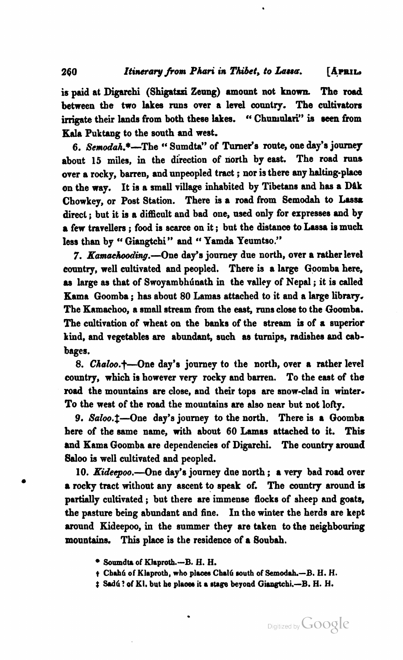is paid at Digarchi (Shigatzzi Zeung) amount not known. The road between the two lakes runs over a level country. The cultivators irrigate their lands from both these lakes. "Chunualari" is seen from Kala Puktang to the south and west.

260

6. Semodah.\*-The " Sumdta" of Turner's route, one day's journey about 15 miles, in the direction of north by east. The road runs over a rocky, barren, and unpeopled tract ; nor is there any hslting-place on the way. It is a small village inhabited by Tibetans and has a Dâk Chowkey, or Post Station. There is a road from Semodah to Lassa direct ; but it is a difficult and bad one, used only for expresses and by a few travellers ; food is scarce on it ; but the distance to **Lassa in** much less than by "Giangtchi" and "Yamda Yeumtso."

7. Kamachooding.-One day's journey due north, over a rather level country, well cultivated and peopled. There is a large Goomba here, as large as that of Swoyambhunath in the valley of Nepal; it is called Kama Goomba ; has about **80** Lamas attached to it and a large libmy. The Knmachoo, a small stream from the east, runs close to the Goomba. The cultivation of wheat on the banks of the stream **is** of a superior kind, and vegetables **are** abundant, such **as** turnips, radishes and cabbages.

8. *Chaloo.*+-One day's journey to the north, over a rather level country, which is however very rocky and barren. To the east of the **road** the mountains are close, and their tops are snow-clad in winter. To the west of the road the mountains are also near but not lofty.

9. Saloo.<sup>1</sup>-One day's journey to the north. There is a Goomba here of the same name, with about **60 Lamas** attached **to** it. This and Kama Goomba are dependencies of Digarchi. The country around Saloo is well cultivated and peopled.

10. Kideepoo.-One day's journey due north ; a very bad **road** over a rocky tract without any ascent to apeak of. The country around is partially cultivated ; but there are immense flocks of sheep and goats, the pasture being abundant and fine. In the winter the herds are kept around Kideepoo, in the summer they are taken to the neighbowing mountains. This place is the residence of a Soubah.

- **Soumdt. of K1aprotb.-B. H. H.**
- $t$  **Chahú of Klaproth, who places Chalú south of Semodah.-B. H. H.**
- $\uparrow$  Sadú? of Kl, but he places it a stage beyond Giangtchi.--B. H. H.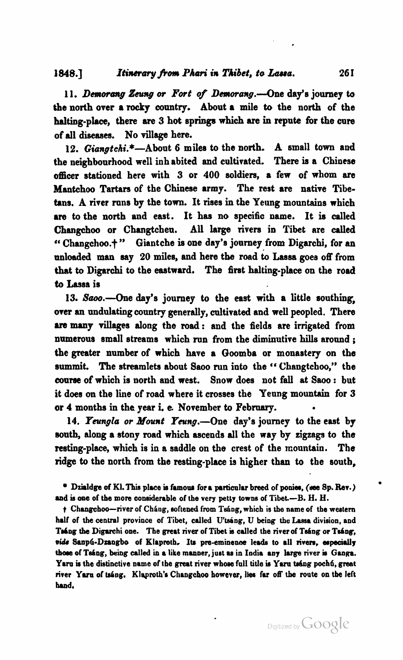#### 1848.] Itinerary from Phari in Thibet, to Lassa.

**11.** Demorang *Zeung* **or** Fort of Demorang.---One day's journey to the north over a rocky country. About a mile to the north of the halting-place, there are 3 hot springs which are in repute for the cure of all diseases. No village here.

12. Giangtchi.\*-About 6 miles to the north. A small town and the neighboarhood well inhabited and cultivated. There **is** a Chinese officer stationed here with 3 or **400** soldiers, a few of whom are Mantchoo Tartars of the Chinese army. The rest are native Tibetans. A river runs by the town. It rises in the Yeung mountains which are to the north and east. It has no specific name. It is called Changchoo or Changtchen. All large rivers in Tibet are **called**  Changchoo.?" Giantche **ia** one day's jonrney from Digarchi, for an unloaded man say 20 miles, and here the road to Lassa goes off from that to Digarchi to the eastward. The first halting-place on the road to Lassa is

13. Saoo.---One day's journey to the east with a little southing, **wer** an undulating country generally, cultivated and well peopled. There are many villages along the road: and the fields are irrigated from numerous small streams which run from the diminutive hills aronnd ; the greater number of which have a Goomba or monastery on the summit. The streamlets about Saoo run into the "Changtchoo," the course of which is north and west. Snow doea not fall at **Saoo** : but it does on the lime of road where it crosses the Yenng mountain for **3**  or 4 months in the year i. **e.** Novemher to February.

14. *Feungla or Mount Yeung*. One day's journey to the east by south, along a stony road which ascends all the way by zigzags to the resting-place, which is in a saddle on the crest of the mountain. The ridge **to** the north from the resting-place is higher than to the south,

<sup>*e*</sup> Dzialdge of Kl. This place is famous for a particular breed of ponies, (see Sp. Rev.) and is one of the more considerable of the very petty towns of Tibet.-B. H. H.

t Changehoo-river of Chang, softened from Tsang, which is the name of the western half of the central province of Tibet, called U'tsang, U being the Lassa division, and Taáng the Digarchi one. The great river of Tibet is called the river of Tsáng or Tsáng, vide Sanp6-Dzangbo of Klaproth. Its pre-eminence leads to all rivers, especially those of Tsáng, being called in a like manner, just as in India any large river is Ganga. Yaru is the distinctive name of the great river whose full title is Yaru tsáng pochó, great river Yaru of tsang. Klaproth's Changchoo however, lies far off the route on the left hand.

261

'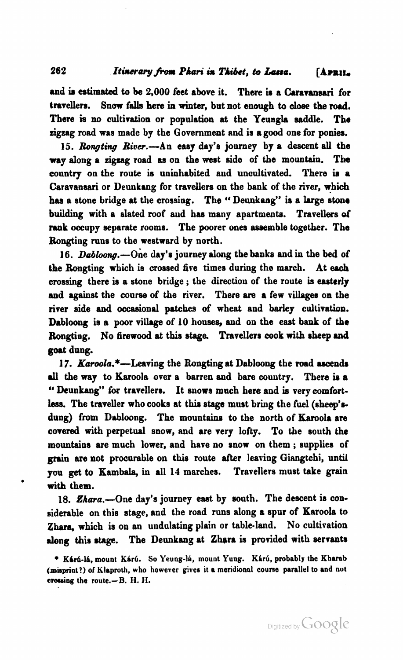and is estimated to be 2,000 feet above it. There is a Caravansari for travellers. Snow falls here in winter, but not enough to close the road. There is no cultivation or population at the Yeungla saddle. The **zigzag** road was made by the Governmeat and is a good one for **poniea.** 

15. *Rongting* River.-An easy day's jonrney by a descent **all** the way along a zigzag road as on the west side of the mountain. The county on the route is uninhabited aud uncultivated. There **in** a Caravansari or Deunkang for travellers on the bank of the river, which has a stone bridge at the crossing. The "Deunkang" is a large stone building with a slated roof aud baa many apartments. Travellers **of**  rank occupy separate rooms. The poorer ones assemble together. The Bongting runs to tbe westward by north.

16. Dabloong.-- One day's journey along the banks and in the bed of the Rongting which is crossed five times during the march. At **each**  crossing there is a stone bridge ; the direction of the route **is** easterly and **against** the course of the river. There are a few villages on the river side and occaeional **patches** of wheat and barley cultivation. Dabloong **ie** a poor village of **10** houses, and on the east **bank** of the Rongting. No firewood at this stage. Travellers cook with sheep and goat dung.

17. Karoola.\*--Leaving the Rongting at Dabloong the road ascends **dl** the way to Karoola over a barren aud bare couutry. There **is** a " Deunkang" for travellers. It snows much here and is very comfortless. The traveller who cooks at this stage must bring the fuel (sheep'sdung) from Dabloong. The mountains to the north of Karoola are covered with perpetual snow, and are very lofty. To the south the mountains are much lower, and have no snow on them ; supplies of grain are not procurable on this route after leaving Giangtchi, until you get to Kambala, in all 14 marches. Travellers must take grain with them.

18. Zhara.--One day's journey east by south. The descent is considerable on this stage, and the road runs dong a spur of Karoola to **Zhara,** which is on an undulating plain or table-land. No cultivation along this stage. The Deunkang at Zhara is provided with servants

262

<sup>\*</sup> Kárú-lá, mount Kárú. So Yeung-lá, mount Yung. Kárú, probably the Kharab **(misprint?)** of **lilaprorh,** who **however gives** it **a mendional** course **parallel** to **and nut cnwsing** the **route.-B.** H. **11.**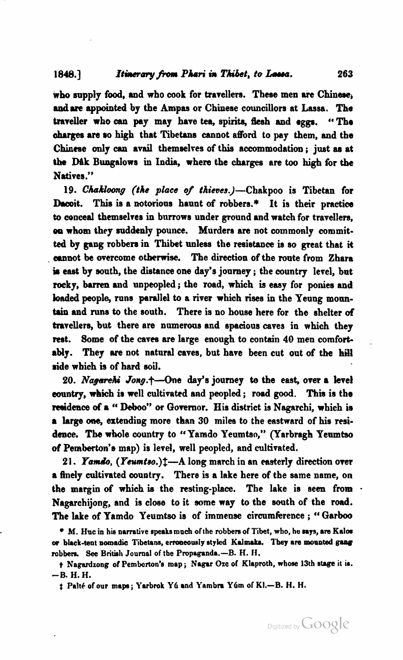who supply food, and who cook for travellers. These men are Chinese, **andarc** appointed by the **Ampas** or Chinese councillors at Lassa. **The**  traveller who **can** pay may have **tea,** spirits, **flesh** and **egga.** Tho charges are so high that Tibetans cannot afford to pay them, and the Chinese only can avail themaelves of this accommodation ; just **as** at **the DIL%** Bungalows in India, whem the charges are **too high** for the Natives."

19. Chakloong (the place of thieves.)-Chakpoo is Tibetan for Dacoit. This is a notorious haunt of robbers.\* It is their practice to conceal themselves in burrows under ground and watch for travellers, on whom they suddenly pounce. Murders are not commonly committed by gang robbers in Thibet unless the resistance is so great that it annot be overcome otherwise. The direction of the route from Zhara is **east** by south, the distance one day's journey ; the country level, but rocky, barren and unpeopled; the road, which is easy for ponies and **baded** people, runs parallel **to** a river which rises in the Yeung monntain and runs to the south. There is no house here for the shelter of travellers, but there are numerous and spacious caves in **which** they rest. Some of the caves are large enough to contain 40 men comfortably. They are not natural caves, but have been cut out of the hill ride which is of hard soil.

20. *Nagarehi Jong.*+-One day's journey to the east, over a level eountry, which is well cultivated arid peopled ; road **good. This** is the reeidence **d** a " Deboo" **or** Governor. His district is Nagarchi, which is a large **ow,** extending more than 30 milea to the eastward of his resi**dence. The** whole country to "Yamdo Yenmtso," (Yarbragh Yeamtso of Pemberton's map) is level, well peopled, and cultivated.

21. Yamdo, (Yeumtso.)t-A long march in an easterly direction over a finely cultivated country. There is a lake here of the same name, on the margin **of** which **ie** the resting-place. The lake is aeen from . Nagarchijong, and is close to it some way to the south of the road. The lake of Yamdo Yeumtso is of immense circumference; "Garboo

**M. Hrc in his narrative 8p8ksmneh ofthe robbers of Tibet, who, he mys, am Kalw w black-tent nomadic Tibetans, emmeously styled KJmrk.** *They* **am mounted** guw robbers. See British Journal of the Propaganda.-B. H. H.

<sup>)</sup> **Nagardzong of Pembcrton'a map** ; **Nugar Oze of Klaproth, whose 13th atage it** u. **-6. H. H.** 

 $\ddagger$  Palté of our maps; Yarbrok Yú and Yambra Yúm of Kl.-B. H. H.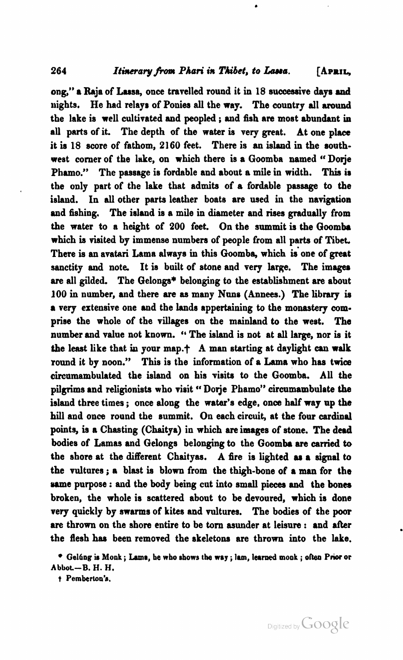ong," a Raja of Lusa, once travelled round it in 18 successive **days md**  nights. He had relays of Ponies all the way. The country all **around**  the lake is well cultivated and peopled ; and fish are most abundant **in all** parts of it. The depth of the water is very great. At one place it is 18 ecore of fathom, **2160** feet. There is **an** island in the southwest corner of the lake, on which there is a Goomba named "Dorie Phamo." The passage is fordable and about a mile in width. This is the only part of the lake that admits of a fordable passage to the island. In all other parts leather boats are used in the navigation and fishing. The island is a mile in diameter and **rises** gradually from the water to a height of **200** feet. On the summit **is** the Goomba which is visited by immense numbers of people from all parts of Tibet. There is an avatari Lama always in this Goomba, which is one of great sanctity and note. It is built of stone and very large. The images are all gilded. The Gelongs\* belonging to the establishment are about **100** in number, and there **are as** many Nuns (Annees.) The library **in**  a very extensive one and the lands appertaining to the monastery **com**prise the whole of the villages on the mainland to the west. The number and value not known. '' The island is not at all large, nor is it the least like that in your map. $+$  A man starting at daylight can walk round it by noon." This is the information of a Lama who has twice circumambulated the island on his visits to the Goomba. All the pilgrims and religionists who visit "Dorje Phamo" circumambulate the island three times ; once along the watar's edge, once half way up the hill and once round the summit. On each circuit, at the four cardinal points, is a Chasting (Chaitya) in which **are** images of stone. The dead bodies of Lamas and Gelongs belonging to the Goomba **ere camed** to the shore at the different Chaityas. A fire is lighted **ar** a signal to the vultures; a blast is blown from the thigh-bone of a man for the same purpose : and the body being cut into small pieces and the bones broken, the whole is scattered about to be devoured, which is done very quickly by srrarrns of kites and vultures. The bodies of the **poor are** thrown on the shore entire to be tom asunder at leisure : and after the flesh has been removed the skeletons are thrown into the lake.

**t Pernberton's.** 

**GelCng m Monk** ; **Lame, be who obows the wry** ; **lun, learned monk** ; **often Prior or Abbot-B. H. H.**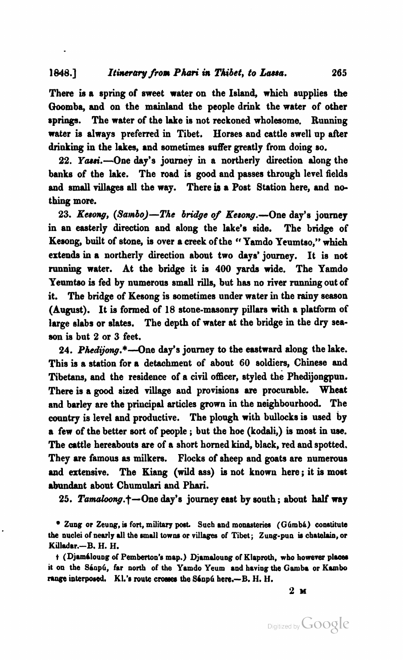#### **1848.1** *Itinerary from Phari in Thibet, to Lassa.* **265**

There is a spring of sweet water on the Island, which supplies the Qoomba, and on the mainland the people drink the water of other springs. The water of the lake is not reckoned wholesome. Running water is always preferred in Tibet. Horses and cattle swell np after drinking in the lakes, and sometimes suffer greatly from doing so.

22. Yassi.-One day's journey in a northerly direction along the banks of the lake. The road is good and passes through level fields and small **villagee** all the way. There **in** a Poat Station here, and nothing more.

23. Kesong, (Sambo)-The bridge of Kesong.-One day's journey in an easterly direction and along the lake's side. The bridge of Kesong, built of stone, is over a creek of the "Yamdo Yeumtso," which extends in a northerly direction abont two days' journey. It is not running water. At the bridge it is 400 yards wide. **The** Yamdo Yenmtso is fed by numerous small rills, but has no river **running** out of it. The bridge of Kesong is sometimes under water in the rainy season **(August).** It is formed of 18 stone-masonry pillare with a platform of large slabs or slates. The depth of water at the bridge in the dry sea**son** is but **2** or **3** feet.

24. Phedijong.\*---One day's journey to the eastward along the lake. This is a station for a detachment of about 60 soldiers, Chinese and Tibetans, and the residence of a civil officer, styled the Phedijongpun. There is a **good** sized village and provisions **are** procurable. Wheat and barley are the principal articles grown in the neighbouthood. The **country** is level and productive. The plough with bullocks is used by a few of the better sort of people ; but the hoe (kodali,) is most in **we.**  The cattle hereabouts are of a short horned kind, black, red and spotted. They are famous as milkers. Flocks of sheep and goats are numerous and extensive. The Kiang (wild ass) is not known here; it is most abundant abont Chumnlari and **Phari.** 

25. Tamaloong.<sup>+</sup>-One day's journey east by south; about half way

<sup>\*</sup> Zung or Zeung, is fort, military post. Such and monasteries (Gumba) constitute **the nuclei of nearly dl the mdl towno or villages of Tibet; Zung-pun is cbatehin, or Killadar.-B. H. H.** 

 $t$  (Djamáloung of Pemberton's map.) Djamaloung of Klaproth, who however places **it on the Siup6, far north of the Ynmdo Yeum and having the Gmba or Kunbo**  range interposed. Kl.'s route crosses the Sanpu here.-B. H. H.

**2 M**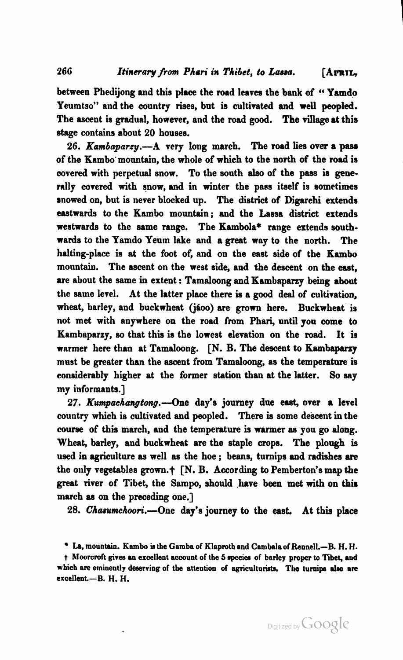between Phedijong and this place the road leaves the bank of "Yamdo Yeumtso" and the country rises, but is cultivated and well peopled. The ascent is gradual, however, and the road good. The village at this stage contains about 20 houses.

26. Kambaparzy.---A very long march. The road lies over a pass of the Kambo'mountain, the whole of which to the **north** of the road is covered with perpetual snow. To the south **also** of the pass is generally covered with snow, and in winter the pass itself is sometimes snowed on, but is never blocked up. The district of Digarehi extends eastwards to the Kambo mountain; and the Lassa district extends westwards to the same range. The Kambola\* range extends southwards to the Yamdo Yeum lake and a great way to the north. The halting-place is at the foot of, and on the east side of the Kambo mountain. The ascent on the west side, and the descent on the **east,**  are about the same in extent : Tamaloong and Kambaparzy being about the same level. At the latter place there is a good deal of cultivation, wheat, barley, and buckwheat (jáoo) are grown here. Buckwheat is not met with anywhere on the road from Phari, until you come to Kambaparzy, so that this is the lowest elevation on the **mad.** It is warmer here than at Tamaloong. [N. B. The descent to Kambaparzy must be greater than the ascent from Tamaloong, as the temperature is eonsiderably higher at the former station than at the latter. So say my informants.]

 $27.$  Kumpachangtong.--One day's journey due east, over a level county which is cultivated and peopled. There **ia** some descent in the **course** of this march, and the temperature is warmer **as** you go along. Wheat, barley, and buckwheat are the staple crops. The plough is used in agriculture as well as the hoe ; beans, turnips and radishes are the only vegetables grown.? [N. B. According to Pemberton's map **the**  great river of Tibet, the Sampo, should .have been met with on **thir**  march **as** on the preceding one.]

28. Chasumchoori.---One day's journey to the east. At this place

Digitized by Google

**lm, mountaio. Kambo is the Gamba of Klaproth and Cambalaof Rennel1.-B. H. H.** 

t Moorcroft gives an excellent account of the 5 species of barley proper to Tibet, and which are eminently deserving of the attention of agriculturists. The turnips also are **excellent.-B. H. H.**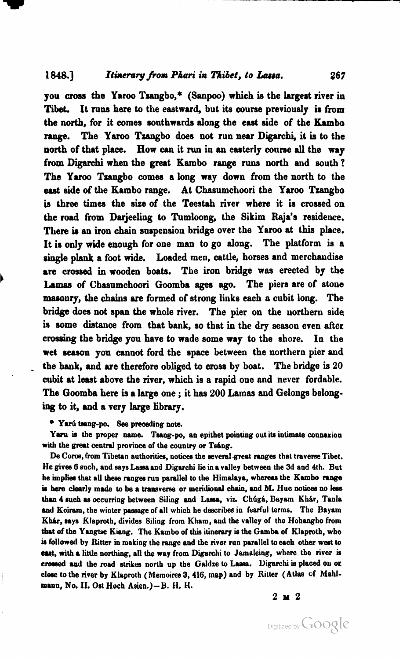you cross the Yaroo Tzangbo,\* (Sanpoo) which is the largest river in Tibet. It runs here to the eastward, but its course previously is from the north, for it comes southwards along the east side of the Kambo range. The Yaroo Tzangbo does not run near Digarchi, it is to the north of that place. How **can** it run in an easterly course **all** the way from **Digarchi** when the great **Kambo** range **runs** north and eouth ? The Yaroo Tzangbo comes a long way down from the north to the east side of the Kambo range. At Chasumchoori the Yaroo Tzangbo **is** three times the size of the Teestah river where it is crossed on the road from Darjeeling to Tumloong, the Sikim Raja's residence, There is an iron chain suspension bridge over the Yaroo at this place. It is only wide enough for one man to go along. The platform is a single plank a foot wide. Loaded men, cattle, horses and merchandise are crossed in wooden boats. The iron bridge was erected by the **Lamas** of Chasnmchoori Goomba **ages ago.** The piers are of atone masonry, the chains are formed of strong links each **o** cubit long. The bridge does not span the whole river. The pier on the northern side is some distance from that bank, so that in the dry season even after crossing the bridge you have to wade some way to the shore. In the wet season you cannot ford the space between the northern pier and the bank, and are therefore obliged to cross by boat. The bridge is 20 cubit at least above the river, which is a rapid oue and never fordable. The Goomba here is a large one ; it has 200 Lamas and Gelongs belonging to it, and a very large library.

**Y8r6** tang-pa **See** preceding note.

Yaru is the proper name. Tsang-po, an epithet pointing out its intimate connexion with the great central province of the country or Tsang.

De Coros, from Tibetan authorities, notices the several great ranges that traverse Tibet. He gives 6 such, and says Lassa and Digarchi lie in a valley between the 3d and 4th. But he implies that all these ranges run parallel to the Himalaya, whereas the Kambo range is here clearly made to be a transverse or meridional chain, and M. Huc notices no less than 4 such as occurring between Siling and Lassa, viz. Chúgá, Bayam Khár, Tanla and Koiram, the winter passage of all which he describes in fearful terms. The Bayam **K&. mys** Klapmth, divides Slling from Kham, and the valley of the Hohangho from that of the Yangtse Kiang. The Kambo of this itinerary is the Gamba of Klaproth, who **M** followed by Ritter in making the range and the river run parallel to **each** other west **to**  east, with a little northing, all the way from Digarchi to Jamaleing, where the river is crossed and the road strikes north up the Galdze to Lassa. Digarchi is placed on or close to the river by Klaproth (Memoires 3, 416, map) and by Ritter (Atlas of Mahlmann, No. II. Ost Hoch Asien.)-B. H. H.

267

**2~2**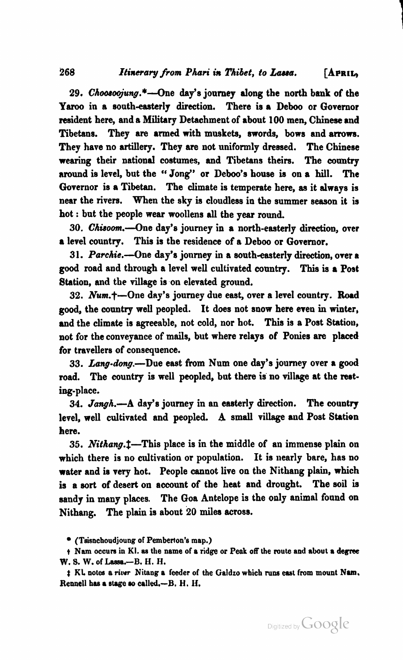#### 268 *Itinerary from Phari in Thibet, to Lassa.* [APRIL,

29. Choosoojung.\*---One day's journey along the north bank of the Yaroo in a south-easterly direction. There is a Deboo or Governor resident here, and a Military Detachment of about **100** men, Chinese **and**  Tibetans. They are armed with muskets, swords, bows and arrows. They have no artillery. They are not uniformly dressed. The Chinese wearing their national costumes, and Tibetans theirs. The country around is level, but the "Jong" or Deboo's house is on a hill. The Governor is a Tibetan. The climate is temperate here, as it always is near the rivers. When the sky is cloudless in the summer season it is hot : but the people wear woollens all the year round

30. *Chisoom*.--One day's journey in a north-easterly direction, over a level county. This is the residence of a Deboo or Governor.

31. Parchie.--One day's journey in a south-easterly direction, over a good road and through a level well cultivated country. **This** is a Post Station, and the village is on elevated ground.

**32.** Num.t-One day's journey due east, over a level country. Road good, the county well peopled. It does not snow here even in winter, and the climate is agreeable, not cold, nor hot. This is a Post Statiou, not for the conveyance of mails, but where relays of Ponies are placed for travellers of consequence.

33. Lang-dong.-- Due east from Num one day's journey over a good road. The country is well peopled, but there is no village at the resting-place.

34. Jangh.-A day's journey in an easterly direction. The country level, well cultivated and peopled. **A** small village and Post Station here.

35. Nithang.<sup>†</sup>—This place is in the middle of an immense plain on which there is no cultivation or population. It is nearly bare, has no water and is very hot. People cannot live on the Nithang plain, which is a sort of desert on account of the heat and drought. The **soil** is sandy in many places. The Goa Antelope is the only animal found on Nithang. The plain is about **20** miles across.

**(Teisnchoudjoung OF Pemberton's map.)** 

**t** Nam occurs in Kl. as the name of a ridge or Peak off the route and about a degree **W. 5. W. of Lasso.-B. H. H.** 

 $f$  KL notes a river Nitang a feeder of the Galdzo which runs east from mount Nam. **Rennell baa srsgo w, called.-B. H. If.**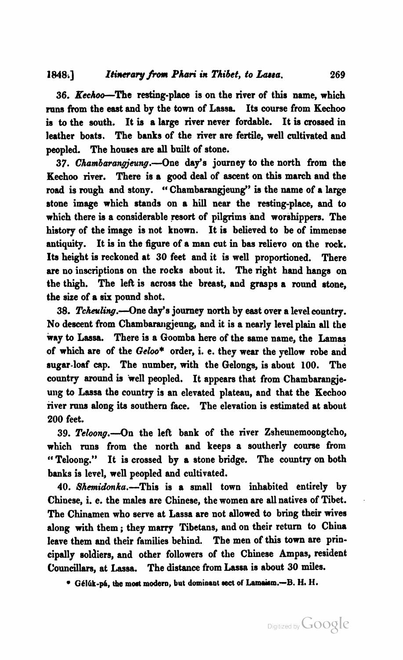36. Kechoo-The resting-place is on the river of this name, which runs from the east and by the town of Lassa. Its course from Kechoo is to the south. It is a large river never fordable. It **is** crossed in leather boats. The banks of the river are fertile, well cultivated and peopled. The houses are all built of stone.

**37.** Cham6arangjeung.-One day's journey to the north from the Kechoo river. There is a good deal of ascent on this march and the road is rough and stony. "Chambarangjeung" **ia** the name of a large stone image which stands on a hill near the resting-place, and to which there is a considerable resort of pilgrims and worshippers. The history of the image is not known. It is believed to be of immense antiquity. It is in the figure of a man cut in bas reliero on the rock. Its height is reckoned at **30** feet and it is well proportioned. There are no inscriptions on the rocks abont it. The right hand hangs on the thigh. The left is across the breast, and grasps a round stone, the size of a **six** pound shot.

38. Tcheuling.--One day's journey north by east over a level country. No descent from Chambarangjenng, and it is a nearly level plain all the way to **Laasa.** There is a Goomba here of the same name, the Lamas of which are of the *Geloo*\* order, i. e. they wear the yellow robe and sugar-loaf cap. The number, with the Gelongs, is abont **100.** The country around is well peopled. It appears that from Chambarangie**ung** to Lassa the country is an elevated plateau, and that the Kechoo river runs along its southern face. The elevation is estimated at about **200** feet.

39. Teloong.-- On the left bank of the river Zsheunemoongtcho, which runs from the north and keeps a southerly course from "Teloong." It is crossed by a stone bridge. The country on both banks is level, well peopled and cultivated.

40. Shemidonka.-This is a small town inhabited entirely by Chinese, i. e. the males are Chinese, the women are all natives of Tibet. The Chinamen who serve at Lassa are not allowed to bring their wives along with them ; they marry Tibetans, and on their return to China leave them and their families behind. The men of this town are principally soldiers, and other followers of the Chinese Ampas, resident Councillars, at Lassa. The distance from Lassa is about 30 miles.

**G614-p&, the most modern, but dominant** sect **of Wm.-B. H. H.**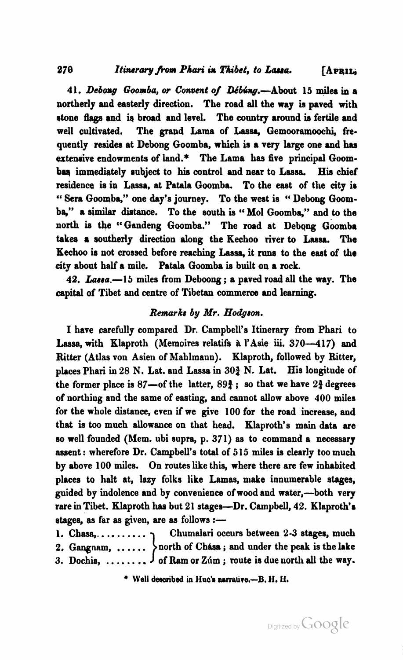#### Itinerary from Phari in Thibet, to Lassa. APRIL

**4 1.** *Debong* **Gooaba, w Convent o/** Ddbhg.-About **15 mil-** a northerly and easterly direction. The road all the way is paved with stone flags and is broad and level. The country around is fertile and well cultivated. The grand Lama of Lassa, Gemooramoochi, frequently resides at Debong Goomba, which is a very large one and **has**  extensive endowments of **land.\*** The Lama has five principal Goombas immediately subject to his control and near to Lassa. His chief residence is in Lassa, at Patala Goomba. To the east of the city is " Sera Goomba," one day's journey. To the west is " Deboug Goom**ba,"** a similar distance. To the south is " Mol Goomba," and to the north is the "Gandeng Goomba." The road at Debong Goomba **taka** a southerly direction along the Kechoo river to **hsa.** The Kechoo is not crossed before reaching Lassa, it runs to the east of the city about half a mile. Patala Goomba is built on a rock.

42. Lassa.-I5 miles from Deboong; a paved road all the way. The capital of Tibet and centre of Tibetan commerce and learning.

#### *Renrarku* **by Mr. Hodgron.**

I have carefully compared Dr. Campbell's Itinerary from Phari to Lassa, with Klaproth (Memoires relatifs à l'Asie iii. 370-417) and Ritter (Atlas von Asien of Mahlmann). Klaproth, followed by Ritter, places Phari in 28 N. Lat. and Lassa in **303** N. Lat. His longitude of the former place is  $87$ —of the latter,  $89\frac{3}{4}$ ; so that we have  $2\frac{3}{4}$  degrees of northing and the same of eating, and cannot allow above **400** miles for the whole distance, even if we give **100** for the road increase, and that is too much allowance on that head. Klaproth's main data are **so** well founded (Mem. ubi supra, p. **371)** as to command a necessary assent : wherefore Dr. Campbell's total of **5 15** miles **is** clearly too much by above **100** miles. On routes like this, where there are few inhabited places to halt at, lazy folks like Lamas, make innumerable stages, guided by indolence and by convenience of wood and water,-both very rare inTibet. Klaproth has but **21** stages-Dr. Campbell, **42.** Klaproth'a stages, as far as given, are as follows :-

- **1.** Cbasa,. . . . . . . . . . Chumalari occurs between **2-3** stages, much
- 2. Gangnam, ...... > north of Chasa; and under the peak is the lake
- 2. Gangnam, ...... > north of Chasa; and under the peak is the lake<br>3. Dochia, ........ > of Ram or Zúm; route is due north all the way. **....** J of Ram or Zúm; route is due no<br>• Well described in Huc's narrative.—B. H. H.

270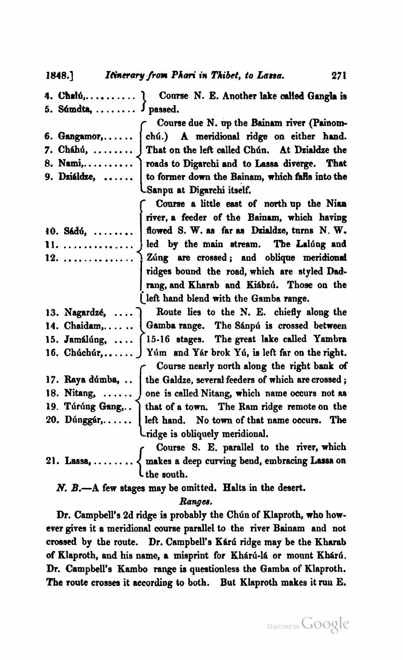1848.] Itinerary from Phari in Thibet, to Lassa.

**4. C%dG,.** ......... Course N. E. Another lake **died** Gangla is

- 
- 
- 
- 

t. **Súmdta, ........** J passed.<br>Course due N. up the Bainam river (Painom-Course due N. up the Bainam river (Painom-<br>
...... chú.) A meridional ridge on either hand.<br>
That on the left called Chún. At Dzialdze the<br>
roads to Digarchi and to Lassa diverge. That<br>
to former down the Bainam, which fal 6. Gangamor,...... | chú.) A meridional ridge on either hand.<br>7. Cháhú, ........ | That on the left called Chún. At Dzialdze the 7. Cháhú, ........ J That on the left called Chún. At Działdze the **8. Nami,.** ......... roads to Digarchi and to **Lassa** diverge. That  $\vert$  to former down the Bainam, which falls into the Sdnpn at Digarchi itself.

**Course a little east of north up the Nian** <br>
river, a feeder of the Bainam, which having<br>
flowed S. W. as far as Dzialdze, turns N. W.<br>
led by the main stream. The Lalúng and river, a feeder of the Bainam, which having 10. Sádú, ........ flowed S. W. as far as Dzialdze, turns N. W. 11. .............. led by the **main** stream. The L.1dng and 12. .............. Zhng **are** crossed; and obliq-ue **meridimd** ridges bound the road, which are styled Dad-<br>rang, and Kharab and Kiábzú. Those on the jleft hand blend with the Gamba range.

13. Nagardzé, ....) Route lies to the N. E. chiefly along the 14. Chaidam,...... Gamba range. The Sánpú is crossed between 15. Jamálúng, .... (15-16 stages. The great lake called Yambra 16. Chúchúr,....... J Yúm and Yár brok Yú, is left far on the right.<br>Course nearly north along the right bank of Course nearly north along the right bank of<br>the Galdze, several feeders of which are crossed;<br>one is called Nitang, which name occurs not as<br>that of a town. The Ram ridge remote on the<br>left hand. No town of that name occur 17. Raya dúmba, .. the Galdze, several feeders of which are crossed;<br>18. Nitang, ...... one is called Nitang, which name occurs not as 19. Túrúng Gang,.. ) that of a town. The Ram ridge remote on the 20. Dúnggár, ..... left hand. No town of that name occurs. The ridge is obliquely meridiond.

{ ........ Course **9.** E. parallel to the river, which 21. **Lassa,** makes a deep curving bend, embracing **Lassa** on the south.

N. B.-A few stages may be omitted. Halts in the desert.

#### *Rangea.*

Dr. Campbell's 2d ridge is probably the Chún of Klaproth, who however gives it a meridiond course parallel to the river Bainam and not crossed by the route. Dr. Campbell's Kárú ridge may be the Kharab of Klaproth, and his name, a misprint for Khárú-lá or mount Khárú. Dr. Campbell's **Kambo range** is questionless the Gamba of Klaproth. The route crosses it according to both. But Klaproth makes it **ruu** E.

271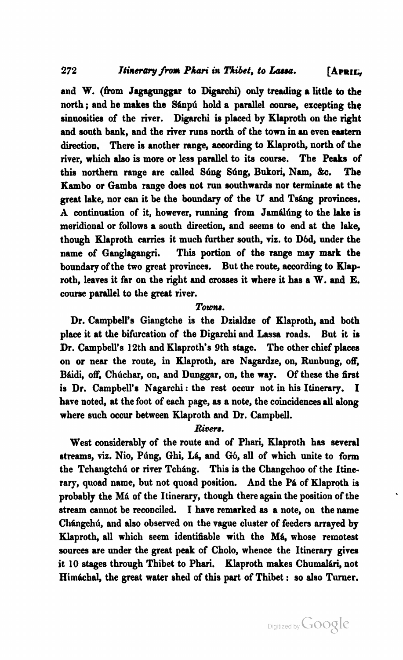and W. (from Jagagunggar to **Digarchi)** only treading a little to the north ; and he makes the Sánpú hold a parallel course, excepting the sinuosities of the river. Digarchi is placed by Klaproth on the right and south bank, and the river runs north of the town in an even eastern direction. There is another range, according to Klaproth, north of the river, which **also** is more or less parallel to ib course. The **Peaks** of this northern range are called Súng Súng, Bukori, Nam, &c. The Kambo or Gamba range does not run southwarde nor terminate at the great lake, nor can it be the boundary of the U and Tsáng provinces. A continuation of it, however, running from Jamalung to the lake is meridional or follows a south direction, and seems to end at the lake, though Klaproth carries it much further south, viz. to D6d, under the name of Ganglagangri. This portion of the range may **mark** the boundary of the two great provinces. But the route, according to Klaproth, leaves it far on the right and crosses it where it has a W. **and** E. course parallel to the great river.

#### *Towna.*

Dr. Campbell's Giangtche is the Dzialdze of Klaproth, and both place it at the bifurcation of the Digarchi and Lassa roads. But it is Dr. Campbell's 12th and Klaproth's 9th stage. The other chief places on or near the route, in Klaproth, are Nagardze, on, Runbung, off, Báidi, off. Chúchar, on, and Dunggar, on, the way. Of these the first is Dr. Campbell's Nagarchi : the rest occur not in his Itinerary. I have noted, at the foot of each page, as a note, the coincidences **all** along where such occur between Klaproth and Dr. Campbell.

#### *Rivera.*

West considerably of the route and of Phari, Klaproth has several streams, viz. Nio, Púng, Ghi, Lá, and Gó, all of which unite to form the Tchangtchú or river Tcháng. This is the Changchoo of the Itinerary, quoad name, but not quoad position. And the Pa of Klaproth is probably the Má of the Itinerary, though there again the position of the stream cannot be reconciled. I have remarked as a note, on the name Chángchú, and also observed on the vague cluster of feeders arrayed by Klaproth, all which seem identifiable with the Má, whose remotest sources are under the great peak of Cholo, whence the Itinerary gives it 10 stages through Thibet to Phari. Klaproth makes Chumalári, not Himáchal, the great water shed of this part of Thibet : so also Turner.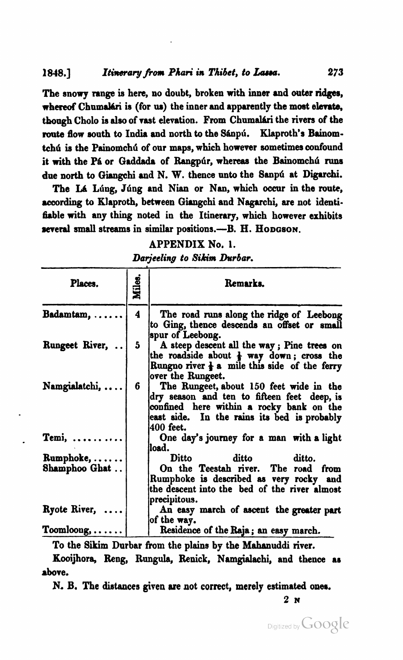The snowy range is here, no doubt, broken with inner and outer ridges, whereof Chumalári is (for us) the inner and apparently the most elevate, though Cholo is also of vast elevation. From Chumalári the rivers of the route flow south to India and north to the Sánpú. Klaproth's Bainomtchú is the Painomchú of our maps, which however sometimes confound it with the Pá or Gaddada of Rangpúr, whereas the Bainomchú runs due north to Giangchi and N. W. thence unto the Sanpu at Digarchi.

The **Id** Ldng, Jdng and **Nian** or Nan, which occur in the **route,**  according to Klaproth, between Giangchi and Nagarchi, are not identifiable with any thing noted in the Itinerary, which however exhibits several small streams in similar positions.---B. H. HODGSON.

#### APPENDIX No, 1.

**Darjeeling to Sikim Durbar.** 

| Places.                       | <b>Miles</b> | Remarks.                                                                                                                                                                                       |
|-------------------------------|--------------|------------------------------------------------------------------------------------------------------------------------------------------------------------------------------------------------|
| $B$ adamtam, $\dots$ .        | 4            | The road runs along the ridge of Leebong<br>to Ging, thence descends an offset or small<br>spur of Leebong.                                                                                    |
| Rungeet River,                | 5            | A steep descent all the way; Pine trees on<br>the roadside about $\frac{1}{2}$ way down; cross the<br>Rungno river $\frac{1}{2}$ a mile this side of the ferry<br>over the Rungeet.            |
| Namgialatchi,                 | 6            | The Rungeet, about 150 feet wide in the<br>dry season and ten to fifteen feet deep, is<br>confined here within a rocky bank on the<br>east side. In the rains its bed is probably<br>400 feet. |
| $Temi, \ldots, \ldots$        |              | One day's journey for a man with a light<br>load.                                                                                                                                              |
| $\mathbf{R}$ umphoke, $\dots$ |              | ditto<br>Ditto<br>ditto.                                                                                                                                                                       |
| Shamphoo Ghat                 |              | On the Teestah river. The road from<br>Rumphoke is described as very rocky and<br>the descent into the bed of the river almost<br>precipitous.                                                 |
| $R$ yote River, $\ldots$      |              | An easy march of ascent the greater part<br>of the way.                                                                                                                                        |
| $Toombong, \ldots \ldots$     |              | Residence of the Raja; an easy march.                                                                                                                                                          |

To the Sikim Durbar from the plains by the Mahanuddi river.

Kooijhora, Reng, Rungula, Renick, Namgialachi, and thence as above.

N. B. The **distances** given are not correct, merely estimated **ones.** 

**2 N**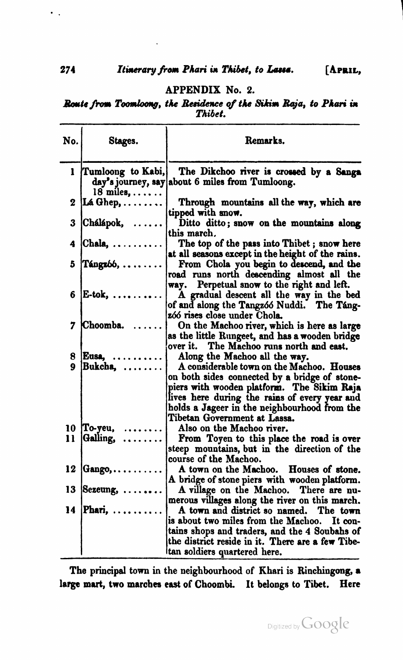#### APPENDIX No. **2.**

Boute from Toomloong, the Residence of the Sikim Raja, to Phari in *Thibet.* 

|     |                                             | Thibet.                                                                                                                                                                                                                                                                   |
|-----|---------------------------------------------|---------------------------------------------------------------------------------------------------------------------------------------------------------------------------------------------------------------------------------------------------------------------------|
| No. | Stages.                                     | Remarks.                                                                                                                                                                                                                                                                  |
| ı   | Tumloong to Kabi,<br>$18$ miles, $\ldots$ . | The Dikchoo river is crossed by a Sanga<br>day's journey, say about 6 miles from Tumloong.                                                                                                                                                                                |
| 2   | Lá Ghep, $\ldots \ldots$                    | Through mountains all the way, which are<br>tipped with snow.                                                                                                                                                                                                             |
| 3   | Chálápok,<br>.                              | Ditto ditto; snow on the mountains along<br>this march.                                                                                                                                                                                                                   |
| 4   | $[Chala, \ldots]$                           | The top of the pass into Thibet; snow here<br>at all seasons except in the height of the rains.                                                                                                                                                                           |
| 5   | Tángzóó,                                    | From Chola you begin to descend, and the<br>road runs north descending almost all the<br>Perpetual snow to the right and left.<br>WAV.                                                                                                                                    |
| 6   | $\mathbf{E}\text{-}\mathbf{tok}, \ldots$    | A gradual descent all the way in the bed<br>of and along the Tangzóó Nuddi. The Táng-<br>zóó rises close under Chola.                                                                                                                                                     |
| 7   | Choomba.                                    | On the Machoo river, which is here as large<br>as the little Rungeet, and has a wooden bridge                                                                                                                                                                             |
| 8.  | $Exsa. \ldots$                              | over it. The Machoo runs north and east.<br>Along the Machoo all the way.                                                                                                                                                                                                 |
| Q   | Bukcha,                                     | A considerable town on the Machoo. Houses<br>on both sides connected by a bridge of stone-<br>piers with wooden platform. The Sikim Raja<br>lives here during the rains of every year and<br>holds a Jageer in the neighbourhood from the<br>Tibetan Government at Lassa. |
|     | 10 To-yeu,                                  | Also on the Machoo river.                                                                                                                                                                                                                                                 |
| 11  | Galling,<br>.                               | From Toyen to this place the road is over<br>steep mountains, but in the direction of the<br>course of the Machoo.                                                                                                                                                        |
| 12  | $\mathbf{Gango}, \ldots, \ldots,$           | A town on the Machoo. Houses of stone.<br>A bridge of stone piers with wooden platform.                                                                                                                                                                                   |
| 13  | Sezeung,                                    | A village on the Machoo. There are nu-<br>merous villages along the river on this march.                                                                                                                                                                                  |
|     | 14 Phari,                                   | A town and district so named. The town<br>is about two miles from the Machoo. It con-<br>tains shops and traders, and the 4 Soubahs of<br>the district reside in it. There are a few Tibe-<br>tan soldiers quartered here.                                                |

The principal town in the neighbourhood of Khari is Rinchingong, a large mart, two marches east of Choombi. It belongs to Tibet. Here

 $\ddot{\phantom{0}}$  .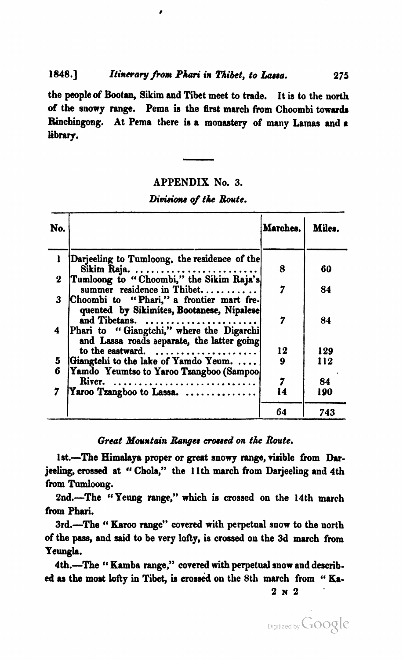#### **1848.1** *Itirreray* **from** *Phari* **in** *Thibet,* **to** *Luau.* **275**

the people of **Bootm,** Sikim and Tibet meet to trade. It is to the north of the snowy range. Pema is the first march from Choombi towards Rinchingong. At Pema there is a monastery of many Lamas and a library.

#### APPENDIX No. **3.**

#### **Divisions of the Route.**

|          | Divisions of the Route.                                                                                                                            |          |            |  |  |  |
|----------|----------------------------------------------------------------------------------------------------------------------------------------------------|----------|------------|--|--|--|
| No.      |                                                                                                                                                    | Marches. | Miles.     |  |  |  |
| ı        | Darjeeling to Tumloong, the residence of the<br>Sikim Raja. $\ldots \ldots \ldots \ldots \ldots$                                                   | 8        | 60         |  |  |  |
| $\bf{2}$ | Tumloong to "Choombi," the Sikim Raja's<br>summer residence in Thibet                                                                              | 7        | 84         |  |  |  |
| 3<br>4   | Choombi to "Phari," a frontier mart fre-<br>quented by Sikimites, Bootanese, Nipalese<br>and Tibetans.<br>Phari to "Giangtchi," where the Digarchi | 7        | 84         |  |  |  |
| 5        | and Lassa roads separate, the latter going<br>to the eastward.<br>. <b>.</b><br>Giangtchi to the lake of Yamdo Yeum.                               | 12<br>9  | 129<br>112 |  |  |  |
| 6        | Yamdo Yeumtso to Yaroo Tzangboo (Sampoo)<br>River.                                                                                                 | 7        | 84         |  |  |  |
| 7        | Yaroo Tzangboo to Lassa.<br>.                                                                                                                      | 14       | 190        |  |  |  |
|          |                                                                                                                                                    | 64       | 743        |  |  |  |

#### *Great* **Mountain** *Ranger* **crorsed on** *the* **Route.**

1st.-The Himalaya proper or great snowy range, visible from Darjeeling, crossed at " Chola," the 11th march from Darjeeling and 4th from Tumloong.

2nd.-The '' Yeung **range,"** which is crossed on the 14th march from Phari.

3rd.-The " **Karoo** range" covered with perpetual snow to the north of the **pas3** and said to be very lofty, is crossed on the 3d march from **Y sungla.** 

4th.-The "Kamba range," covered with perpetual snow and described as the most lofty in Tibet, is crossed on the 8th march from " Ka-

**2N2** '

Digitized by Google